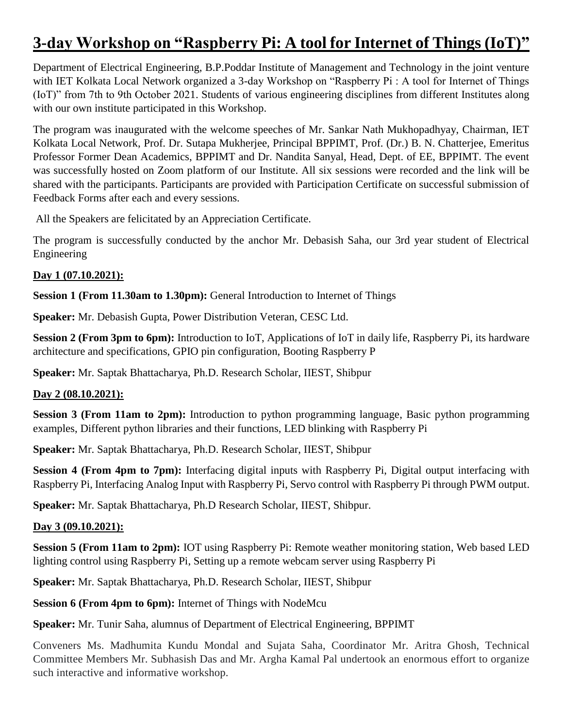## **3-day Workshop on "Raspberry Pi: A tool for Internet of Things (IoT)"**

Department of Electrical Engineering, B.P.Poddar Institute of Management and Technology in the joint venture with IET Kolkata Local Network organized a 3-day Workshop on "Raspberry Pi : A tool for Internet of Things (IoT)" from 7th to 9th October 2021. Students of various engineering disciplines from different Institutes along with our own institute participated in this Workshop.

The program was inaugurated with the welcome speeches of Mr. Sankar Nath Mukhopadhyay, Chairman, IET Kolkata Local Network, Prof. Dr. Sutapa Mukherjee, Principal BPPIMT, Prof. (Dr.) B. N. Chatterjee, Emeritus Professor Former Dean Academics, BPPIMT and Dr. Nandita Sanyal, Head, Dept. of EE, BPPIMT. The event was successfully hosted on Zoom platform of our Institute. All six sessions were recorded and the link will be shared with the participants. Participants are provided with Participation Certificate on successful submission of Feedback Forms after each and every sessions.

All the Speakers are felicitated by an Appreciation Certificate.

The program is successfully conducted by the anchor Mr. Debasish Saha, our 3rd year student of Electrical Engineering

## **Day 1 (07.10.2021):**

**Session 1 (From 11.30am to 1.30pm):** General Introduction to Internet of Things

**Speaker:** Mr. Debasish Gupta, Power Distribution Veteran, CESC Ltd.

**Session 2 (From 3pm to 6pm):** Introduction to IoT, Applications of IoT in daily life, Raspberry Pi, its hardware architecture and specifications, GPIO pin configuration, Booting Raspberry P

**Speaker:** Mr. Saptak Bhattacharya, Ph.D. Research Scholar, IIEST, Shibpur

## **Day 2 (08.10.2021):**

**Session 3 (From 11am to 2pm):** Introduction to python programming language, Basic python programming examples, Different python libraries and their functions, LED blinking with Raspberry Pi

**Speaker:** Mr. Saptak Bhattacharya, Ph.D. Research Scholar, IIEST, Shibpur

**Session 4 (From 4pm to 7pm):** Interfacing digital inputs with Raspberry Pi, Digital output interfacing with Raspberry Pi, Interfacing Analog Input with Raspberry Pi, Servo control with Raspberry Pi through PWM output.

**Speaker:** Mr. Saptak Bhattacharya, Ph.D Research Scholar, IIEST, Shibpur.

## **Day 3 (09.10.2021):**

**Session 5 (From 11am to 2pm):** IOT using Raspberry Pi: Remote weather monitoring station, Web based LED lighting control using Raspberry Pi, Setting up a remote webcam server using Raspberry Pi

**Speaker:** Mr. Saptak Bhattacharya, Ph.D. Research Scholar, IIEST, Shibpur

**Session 6 (From 4pm to 6pm):** Internet of Things with NodeMcu

**Speaker:** Mr. Tunir Saha, alumnus of Department of Electrical Engineering, BPPIMT

Conveners Ms. Madhumita Kundu Mondal and Sujata Saha, Coordinator Mr. Aritra Ghosh, Technical Committee Members Mr. Subhasish Das and Mr. Argha Kamal Pal undertook an enormous effort to organize such interactive and informative workshop.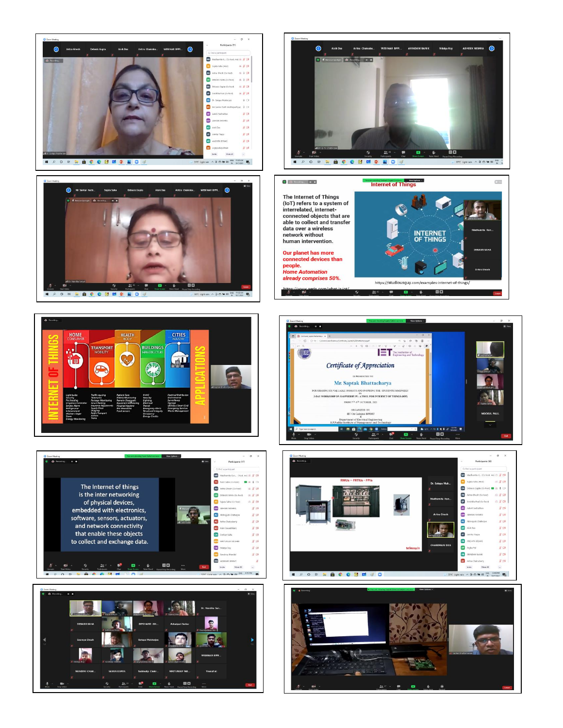